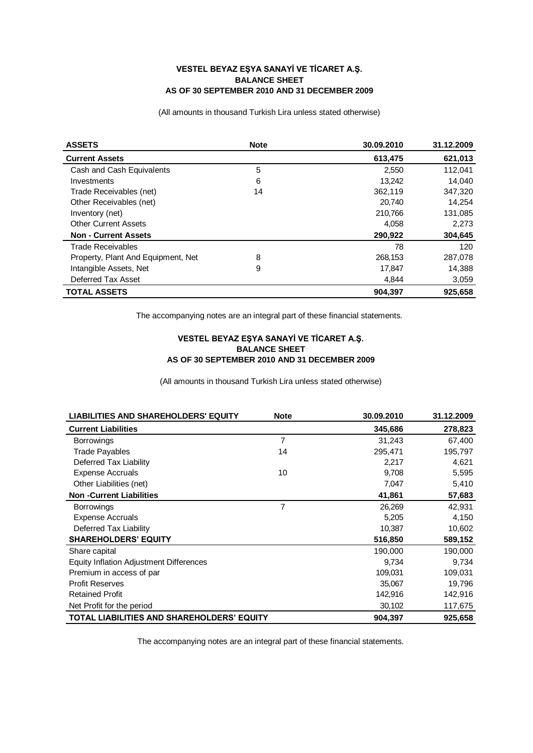## **VESTEL BEYAZ EŞYA SANAYİ VE TİCARET A.Ş. BALANCE SHEET AS OF 30 SEPTEMBER 2010 AND 31 DECEMBER 2009**

(All amounts in thousand Turkish Lira unless stated otherwise)

| <b>ASSETS</b>                      | <b>Note</b> | 30.09.2010 | 31.12.2009 |
|------------------------------------|-------------|------------|------------|
| <b>Current Assets</b>              |             | 613,475    | 621,013    |
| Cash and Cash Equivalents          | 5           | 2,550      | 112,041    |
| Investments                        | 6           | 13,242     | 14,040     |
| Trade Receivables (net)            | 14          | 362,119    | 347,320    |
| Other Receivables (net)            |             | 20,740     | 14,254     |
| Inventory (net)                    |             | 210,766    | 131,085    |
| <b>Other Current Assets</b>        |             | 4,058      | 2,273      |
| <b>Non - Current Assets</b>        |             | 290,922    | 304,645    |
| <b>Trade Receivables</b>           |             | 78         | 120        |
| Property, Plant And Equipment, Net | 8           | 268,153    | 287,078    |
| Intangible Assets, Net             | 9           | 17,847     | 14,388     |
| Deferred Tax Asset                 |             | 4,844      | 3,059      |
| <b>TOTAL ASSETS</b>                |             | 904.397    | 925.658    |

The accompanying notes are an integral part of these financial statements.

## **VESTEL BEYAZ EŞYA SANAYİ VE TİCARET A.Ş. BALANCE SHEET AS OF 30 SEPTEMBER 2010 AND 31 DECEMBER 2009**

(All amounts in thousand Turkish Lira unless stated otherwise)

| <b>LIABILITIES AND SHAREHOLDERS' EQUITY</b>       | <b>Note</b> | 30.09.2010 | 31.12.2009 |
|---------------------------------------------------|-------------|------------|------------|
| <b>Current Liabilities</b>                        |             | 345,686    | 278,823    |
| <b>Borrowings</b>                                 | 7           | 31,243     | 67,400     |
| <b>Trade Payables</b>                             | 14          | 295,471    | 195,797    |
| Deferred Tax Liability                            |             | 2,217      | 4,621      |
| <b>Expense Accruals</b>                           | 10          | 9,708      | 5,595      |
| Other Liabilities (net)                           |             | 7,047      | 5,410      |
| <b>Non-Current Liabilities</b>                    |             | 41,861     | 57,683     |
| <b>Borrowings</b>                                 | 7           | 26,269     | 42,931     |
| <b>Expense Accruals</b>                           |             | 5,205      | 4,150      |
| Deferred Tax Liability                            |             | 10,387     | 10,602     |
| <b>SHAREHOLDERS' EQUITY</b>                       |             | 516,850    | 589,152    |
| Share capital                                     |             | 190,000    | 190,000    |
| <b>Equity Inflation Adjustment Differences</b>    |             | 9,734      | 9,734      |
| Premium in access of par                          |             | 109,031    | 109,031    |
| <b>Profit Reserves</b>                            |             | 35,067     | 19,796     |
| <b>Retained Profit</b>                            |             | 142,916    | 142,916    |
| Net Profit for the period                         |             | 30,102     | 117,675    |
| <b>TOTAL LIABILITIES AND SHAREHOLDERS' EQUITY</b> |             | 904,397    | 925,658    |

The accompanying notes are an integral part of these financial statements.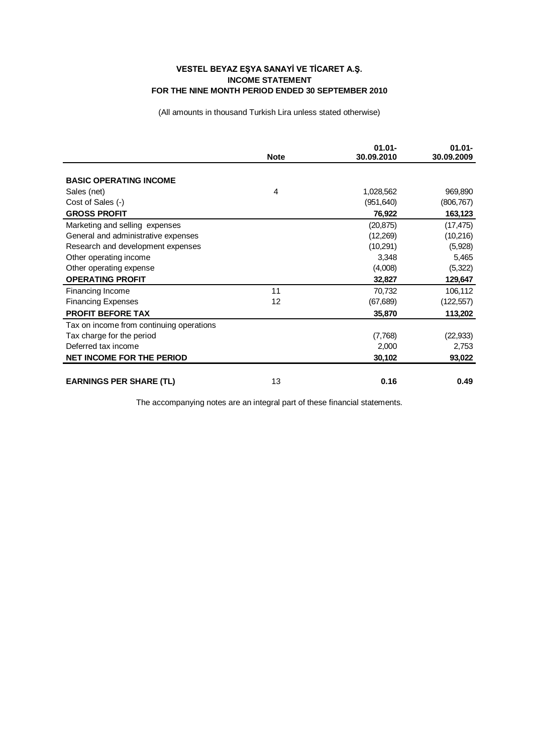## **VESTEL BEYAZ EŞYA SANAYİ VE TİCARET A.Ş. INCOME STATEMENT FOR THE NINE MONTH PERIOD ENDED 30 SEPTEMBER 2010**

(All amounts in thousand Turkish Lira unless stated otherwise)

|                                          | <b>Note</b> | $01.01 -$<br>30.09.2010 | $01.01 -$<br>30.09.2009 |
|------------------------------------------|-------------|-------------------------|-------------------------|
|                                          |             |                         |                         |
| <b>BASIC OPERATING INCOME</b>            |             |                         |                         |
| Sales (net)                              | 4           | 1,028,562               | 969,890                 |
| Cost of Sales (-)                        |             | (951, 640)              | (806, 767)              |
| <b>GROSS PROFIT</b>                      |             | 76,922                  | 163,123                 |
| Marketing and selling expenses           |             | (20, 875)               | (17, 475)               |
| General and administrative expenses      |             | (12,269)                | (10,216)                |
| Research and development expenses        |             | (10,291)                | (5,928)                 |
| Other operating income                   |             | 3,348                   | 5,465                   |
| Other operating expense                  |             | (4,008)                 | (5, 322)                |
| <b>OPERATING PROFIT</b>                  |             | 32,827                  | 129,647                 |
| Financing Income                         | 11          | 70,732                  | 106,112                 |
| <b>Financing Expenses</b>                | 12          | (67, 689)               | (122, 557)              |
| <b>PROFIT BEFORE TAX</b>                 |             | 35,870                  | 113,202                 |
| Tax on income from continuing operations |             |                         |                         |
| Tax charge for the period                |             | (7,768)                 | (22, 933)               |
| Deferred tax income                      |             | 2,000                   | 2,753                   |
| <b>NET INCOME FOR THE PERIOD</b>         |             | 30,102                  | 93,022                  |
|                                          |             |                         |                         |
| <b>EARNINGS PER SHARE (TL)</b>           | 13          | 0.16                    | 0.49                    |

The accompanying notes are an integral part of these financial statements.